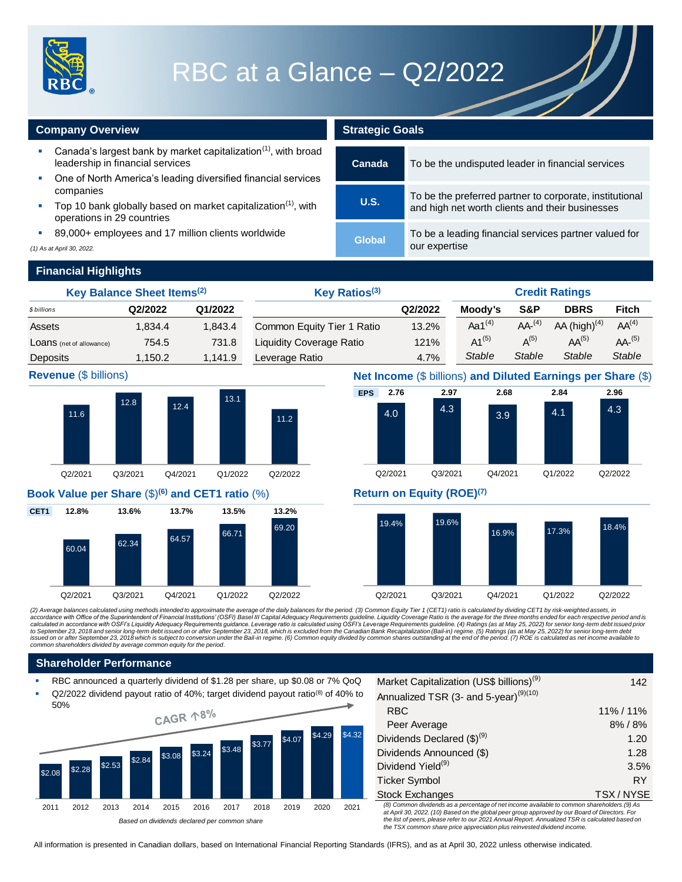

# RBC at a Glance – Q2/2022

### **Company Overview <b>Strategic Goals Strategic Goals**

- Canada's largest bank by market capitalization $(1)$ , with broad leadership in financial services
- One of North America's leading diversified financial services companies
- Top 10 bank globally based on market capitalization<sup> $(1)$ </sup>, with operations in 29 countries
- 89,000+ employees and 17 million clients worldwide

*(1) As at April 30, 2022.*

| Canada | To be the undisputed leader in financial services                                                          |
|--------|------------------------------------------------------------------------------------------------------------|
| U.S.   | To be the preferred partner to corporate, institutional<br>and high net worth clients and their businesses |
| Global | To be a leading financial services partner valued for<br>our expertise                                     |

### **Financial Highlights**

| Key Balance Sheet Items <sup>(2)</sup>                                                                                                                                                                                                                                                                                                                                                                                                                                                                                                                                                                                                                                                                                                                                                                                                                                                                                                                                                                                                                                                                                                                                                                                                 |              | Key Ratios(3) |                  |        |                                 |        |                            | <b>Credit Ratings</b> |                                                                                                           |      |              |                   |                                                                                            |                                                              |
|----------------------------------------------------------------------------------------------------------------------------------------------------------------------------------------------------------------------------------------------------------------------------------------------------------------------------------------------------------------------------------------------------------------------------------------------------------------------------------------------------------------------------------------------------------------------------------------------------------------------------------------------------------------------------------------------------------------------------------------------------------------------------------------------------------------------------------------------------------------------------------------------------------------------------------------------------------------------------------------------------------------------------------------------------------------------------------------------------------------------------------------------------------------------------------------------------------------------------------------|--------------|---------------|------------------|--------|---------------------------------|--------|----------------------------|-----------------------|-----------------------------------------------------------------------------------------------------------|------|--------------|-------------------|--------------------------------------------------------------------------------------------|--------------------------------------------------------------|
| \$ billions                                                                                                                                                                                                                                                                                                                                                                                                                                                                                                                                                                                                                                                                                                                                                                                                                                                                                                                                                                                                                                                                                                                                                                                                                            | Q2/2022      |               | Q1/2022          |        |                                 |        |                            |                       | Q2/2022                                                                                                   |      | Moody's      | S&P               | <b>DBRS</b>                                                                                | <b>Fitch</b>                                                 |
| Assets                                                                                                                                                                                                                                                                                                                                                                                                                                                                                                                                                                                                                                                                                                                                                                                                                                                                                                                                                                                                                                                                                                                                                                                                                                 | 1,834.4      |               | 1,843.4          |        |                                 |        | Common Equity Tier 1 Ratio |                       | 13.2%                                                                                                     |      | Aa $1^{(4)}$ | AA <sup>(4)</sup> | AA $(high)^{(4)}$                                                                          | AA <sup>(4)</sup>                                            |
| LOANS (net of allowance)                                                                                                                                                                                                                                                                                                                                                                                                                                                                                                                                                                                                                                                                                                                                                                                                                                                                                                                                                                                                                                                                                                                                                                                                               |              | 754.5         | 731.8            |        | <b>Liquidity Coverage Ratio</b> |        |                            |                       | 121%                                                                                                      |      | $A1^{(5)}$   | $A^{(5)}$         | $AA^{(5)}$                                                                                 | $AA-(5)$                                                     |
| Deposits                                                                                                                                                                                                                                                                                                                                                                                                                                                                                                                                                                                                                                                                                                                                                                                                                                                                                                                                                                                                                                                                                                                                                                                                                               | 1,150.2      |               | 1,141.9          |        | Leverage Ratio                  |        |                            |                       | 4.7%                                                                                                      |      | Stable       | <b>Stable</b>     | <b>Stable</b>                                                                              | <b>Stable</b>                                                |
| Revenue (\$ billions)                                                                                                                                                                                                                                                                                                                                                                                                                                                                                                                                                                                                                                                                                                                                                                                                                                                                                                                                                                                                                                                                                                                                                                                                                  |              |               |                  |        |                                 |        |                            |                       |                                                                                                           |      |              |                   |                                                                                            | Net Income (\$ billions) and Diluted Earnings per Share (\$) |
|                                                                                                                                                                                                                                                                                                                                                                                                                                                                                                                                                                                                                                                                                                                                                                                                                                                                                                                                                                                                                                                                                                                                                                                                                                        |              |               |                  |        |                                 |        | <b>EPS</b>                 | 2.76                  |                                                                                                           | 2.97 | 2.68         |                   | 2.84                                                                                       | 2.96                                                         |
| 11.6                                                                                                                                                                                                                                                                                                                                                                                                                                                                                                                                                                                                                                                                                                                                                                                                                                                                                                                                                                                                                                                                                                                                                                                                                                   | 12.8         | 12.4          | 13.1             |        | 11.2                            |        |                            | 4.0                   | 4.3                                                                                                       |      | 3.9          |                   | 4.1                                                                                        | 4.3                                                          |
| Q2/2021                                                                                                                                                                                                                                                                                                                                                                                                                                                                                                                                                                                                                                                                                                                                                                                                                                                                                                                                                                                                                                                                                                                                                                                                                                | Q3/2021      | Q4/2021       | Q1/2022          |        | Q2/2022                         |        |                            | Q2/2021               | Q3/2021                                                                                                   |      | Q4/2021      |                   | Q1/2022                                                                                    | Q2/2022                                                      |
| Book Value per Share (\$) <sup>(6)</sup> and CET1 ratio (%)                                                                                                                                                                                                                                                                                                                                                                                                                                                                                                                                                                                                                                                                                                                                                                                                                                                                                                                                                                                                                                                                                                                                                                            |              |               |                  |        |                                 |        |                            |                       | Return on Equity (ROE) <sup>(7)</sup>                                                                     |      |              |                   |                                                                                            |                                                              |
| 12.8%<br>CET <sub>1</sub>                                                                                                                                                                                                                                                                                                                                                                                                                                                                                                                                                                                                                                                                                                                                                                                                                                                                                                                                                                                                                                                                                                                                                                                                              | 13.6%        | 13.7%         | 13.5%            |        | 13.2%                           |        |                            |                       |                                                                                                           |      |              |                   |                                                                                            |                                                              |
| 60.04                                                                                                                                                                                                                                                                                                                                                                                                                                                                                                                                                                                                                                                                                                                                                                                                                                                                                                                                                                                                                                                                                                                                                                                                                                  | 62.34        | 64.57         | 66.71            |        | 69.20                           |        |                            | 19.4%                 | 19.6%                                                                                                     |      | 16.9%        |                   | 17.3%                                                                                      | 18.4%                                                        |
| Q2/2021                                                                                                                                                                                                                                                                                                                                                                                                                                                                                                                                                                                                                                                                                                                                                                                                                                                                                                                                                                                                                                                                                                                                                                                                                                | Q3/2021      | Q4/2021       | Q1/2022          |        | Q2/2022                         |        |                            | Q2/2021               | Q3/2021                                                                                                   |      | Q4/2021      |                   | Q1/2022                                                                                    | Q2/2022                                                      |
| (2) Average balances calculated using methods intended to approximate the average of the daily balances for the period. (3) Common Equity Tier 1 (CET1) ratio is calculated by dividing CET1 by risk-weighted assets, in<br>accordance with Office of the Superintendent of Financial Institutions' (OSFI) Basel III Capital Adequacy Requirements guideline. Liquidity Coverage Ratio is the average for the three months ended for each respective perio<br>calculated in accordance with OSFI's Liquidity Adequacy Requirements guidance. Leverage ratio is calculated using OSFI's Leverage Requirements guideline. (4) Ratings (as at May 25, 2022) for senior long-term debt issued pr<br>to September 23, 2018 and senior long-term debt issued on or after September 23, 2018, which is excluded from the Canadian Bank Recapitalization (Bail-in) regime. (5) Ratings (as at May 25, 2022) for senior long-term debt<br>issued on or after September 23, 2018 which is subject to conversion under the Bail-in regime. (6) Common equity divided by common shares outstanding at the end of the period. (7) ROE is calculated as net income available<br>common shareholders divided by average common equity for the period. |              |               |                  |        |                                 |        |                            |                       |                                                                                                           |      |              |                   |                                                                                            |                                                              |
| <b>Shareholder Performance</b>                                                                                                                                                                                                                                                                                                                                                                                                                                                                                                                                                                                                                                                                                                                                                                                                                                                                                                                                                                                                                                                                                                                                                                                                         |              |               |                  |        |                                 |        |                            |                       |                                                                                                           |      |              |                   |                                                                                            |                                                              |
| RBC announced a quarterly dividend of \$1.28 per share, up \$0.08 or 7% QoQ<br>Q2/2022 dividend payout ratio of 40%; target dividend payout ratio <sup>(8)</sup> of 40% to                                                                                                                                                                                                                                                                                                                                                                                                                                                                                                                                                                                                                                                                                                                                                                                                                                                                                                                                                                                                                                                             |              |               |                  |        |                                 |        |                            |                       | Market Capitalization (US\$ billions) <sup>(9)</sup><br>Annualized TSR (3- and 5-year) <sup>(9)(10)</sup> |      |              |                   |                                                                                            | 142                                                          |
| 50%                                                                                                                                                                                                                                                                                                                                                                                                                                                                                                                                                                                                                                                                                                                                                                                                                                                                                                                                                                                                                                                                                                                                                                                                                                    |              | CAGR 18%      |                  |        |                                 |        |                            | <b>RBC</b>            |                                                                                                           |      |              |                   |                                                                                            | 11% / 11%                                                    |
|                                                                                                                                                                                                                                                                                                                                                                                                                                                                                                                                                                                                                                                                                                                                                                                                                                                                                                                                                                                                                                                                                                                                                                                                                                        |              |               |                  |        |                                 |        |                            |                       | Peer Average                                                                                              |      |              |                   |                                                                                            | 8% / 8%                                                      |
|                                                                                                                                                                                                                                                                                                                                                                                                                                                                                                                                                                                                                                                                                                                                                                                                                                                                                                                                                                                                                                                                                                                                                                                                                                        |              |               |                  | \$3.77 | \$4.07                          | \$4.29 | \$4.32                     |                       | Dividends Declared $(\$)^{(9)}$                                                                           |      |              |                   |                                                                                            | 1.20                                                         |
|                                                                                                                                                                                                                                                                                                                                                                                                                                                                                                                                                                                                                                                                                                                                                                                                                                                                                                                                                                                                                                                                                                                                                                                                                                        | \$2.84       | \$3.08        | \$3.48<br>\$3.24 |        |                                 |        |                            |                       | Dividends Announced (\$)                                                                                  |      |              |                   |                                                                                            | 1.28                                                         |
| \$2.28<br>\$2.08                                                                                                                                                                                                                                                                                                                                                                                                                                                                                                                                                                                                                                                                                                                                                                                                                                                                                                                                                                                                                                                                                                                                                                                                                       | \$2.53       |               |                  |        |                                 |        |                            |                       | Dividend Yield <sup>(9)</sup>                                                                             |      |              |                   |                                                                                            | 3.5%                                                         |
|                                                                                                                                                                                                                                                                                                                                                                                                                                                                                                                                                                                                                                                                                                                                                                                                                                                                                                                                                                                                                                                                                                                                                                                                                                        |              |               |                  |        |                                 |        |                            |                       | <b>Ticker Symbol</b>                                                                                      |      |              |                   |                                                                                            | <b>RY</b>                                                    |
|                                                                                                                                                                                                                                                                                                                                                                                                                                                                                                                                                                                                                                                                                                                                                                                                                                                                                                                                                                                                                                                                                                                                                                                                                                        |              |               |                  |        |                                 |        |                            |                       | <b>Stock Exchanges</b>                                                                                    |      |              |                   | (8) Common dividends as a percentage of net income available to common shareholders.(9) As | TSX/NYSE                                                     |
| 2011<br>2012                                                                                                                                                                                                                                                                                                                                                                                                                                                                                                                                                                                                                                                                                                                                                                                                                                                                                                                                                                                                                                                                                                                                                                                                                           | 2013<br>2014 | 2015          | 2016<br>2017     | 2018   | 2019                            | 2020   | 2021                       |                       |                                                                                                           |      |              |                   |                                                                                            |                                                              |





### **Revenue** (\$ billions) **Net Income** (\$ billions) **and Diluted Earnings per Share** (\$)





### **Shareholder Performance**

- RBC announced a quarterly dividend of \$1.28 per share, up \$0.08 or 7% QoQ
- Q2/2022 dividend payout ratio of 40%; target dividend payout ratio<sup>(8)</sup> of 40% to



| Market Capitalization (US\$ billions) <sup>(9)</sup>                                                                                                                                                  | 142      |  |  |  |  |  |
|-------------------------------------------------------------------------------------------------------------------------------------------------------------------------------------------------------|----------|--|--|--|--|--|
| Annualized TSR (3- and 5-year) <sup>(9)(10)</sup>                                                                                                                                                     |          |  |  |  |  |  |
| <b>RBC</b>                                                                                                                                                                                            | 11%/11%  |  |  |  |  |  |
| Peer Average                                                                                                                                                                                          | 8%/8%    |  |  |  |  |  |
| Dividends Declared $(\$)^{(9)}$                                                                                                                                                                       | 1.20     |  |  |  |  |  |
| Dividends Announced (\$)                                                                                                                                                                              | 1.28     |  |  |  |  |  |
| Dividend Yield <sup>(9)</sup>                                                                                                                                                                         | 3.5%     |  |  |  |  |  |
| <b>Ticker Symbol</b>                                                                                                                                                                                  | RY       |  |  |  |  |  |
| <b>Stock Exchanges</b>                                                                                                                                                                                | TSX/NYSE |  |  |  |  |  |
| (8) Common dividends as a percentage of net income available to common shareholders. (9) As<br>$\sim$ ( $\sim$ $\sim$ 0.000 $\sim$ 10) Because the elektronic common construction Because Common Four |          |  |  |  |  |  |

*at April 30, 2022. (10) Based on the global peer group approved by our Board of Directors. For the list of peers, please refer to our 2021 Annual Report. Annualized TSR is calculated based on the TSX common share price appreciation plus reinvested dividend income.* 

All information is presented in Canadian dollars, based on International Financial Reporting Standards (IFRS), and as at April 30, 2022 unless otherwise indicated.